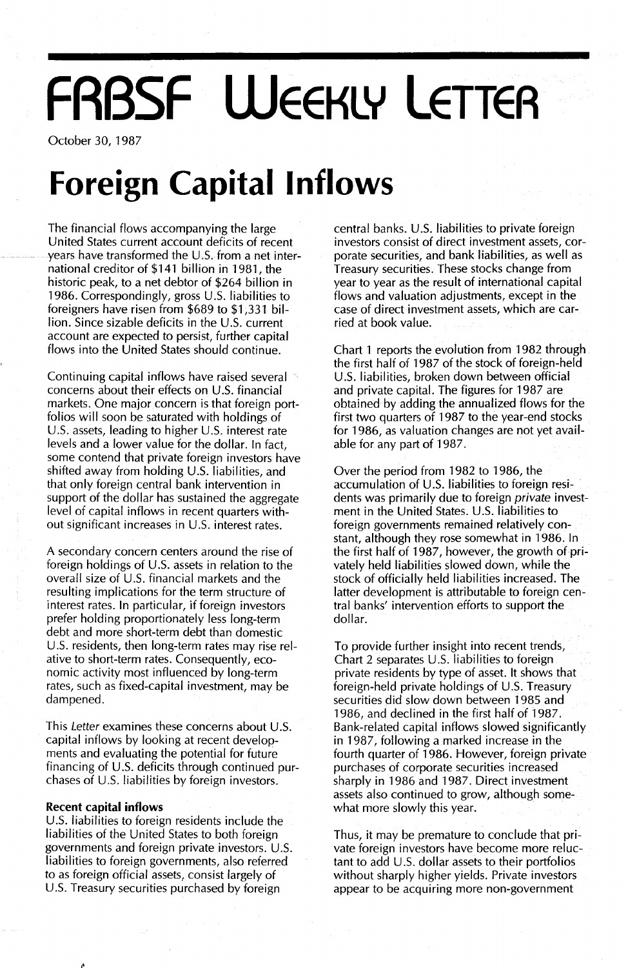# **FRBSF WEEKLY LETTER**

October 30, 1987

## **Foreign Capital Inflows**

The financial flows accompanying the large United States current account deficits of recent years have transformed the U.s. from a net international creditor of \$141 billion in 1981, the historic peak, to a net debtor of \$264 billion in 1986. Correspondingly, gross U.S. liabilities to foreigners have risen from \$689 to \$1,331 bil- $\frac{1}{2}$  lion. Since sizable deficits in the U.S. current account are expected to persist, further capital flows into the United States should continue.

Continuing capital inflows have raised several concerns about their effects on U.s. financial markets. One major concern is that foreign portfolios will soon be saturated with holdings of U.S. assets, leading to higher U.S. interest rate levels and a lower value for the dollar. In fact, some contend that private foreign investors have shifted away from holding U.S. liabilities, and that only foreign central bank intervention in support of the dollar has sustained the aggregate level of capital inflows in recent quarters without significant increases in U.S. interest rates.

A secondary concern centers around the rise of foreign holdings of U.S. assets in relation to the overall size of U.S. financial markets and the resulting implications for the term structure of interest rates. In particular, if foreign investors prefer holding proportionately less long-term debt and more short-term debt than domestic U.s. residents, then long-term rates may rise relative to short-term rates. Consequently, economic activity most influenced by long-term rates, such as fixed-capital investment, may be dampened.

This Letter examines these concerns about U.S. capital inflows by looking at recent developments and evaluating the potential for future financing of U.S. deficits through continued purchases of U.S. liabilities by foreign investors.

### **Recent capital inflows**

U.S. liabilities to foreign residents include the liabilities of the United States to both foreign governments and foreign private investors. U.S. liabilities to foreign governments, also referred to as foreign official assets, consist largely of U.S. Treasury securities purchased by foreign

central banks. U.S. liabilities to private foreign investors consist of direct investment assets, corporate securities, and bank liabilities, as well as Treasury securities. These stocks change from year to year as the result of international capital flows and valuation adjustments, except in the case of direct investment assets, which are carried at book value.

Chart 1 reports the evolution from 1982 through the first half of 1987 of the stock of foreign-held U.S. liabilities, broken down between official and private capital. The figures for 1987 are obtained by adding the annualized flows for the first two quarters of 1987 to the year-end stocks for 1986, as valuation changes are not yet available for any part of 1987.

Over the period from 1982 to 1986, the accumulation of U.S. liabilities to foreign residents was primarily due to foreign private investment in the United States. U.S. liabilities to foreign governments remained relatively constant, although they rose somewhat in 1986. In the first half of 1987, however, the growth of privately held liabilities slowed down, while the stock of officially held liabilities increased. The latter development is attributable to foreign central banks' intervention efforts to support the dollar.

To provide further insight into recent trends, Chart 2 separates U.s. liabilities to foreign private residents by type of asset. It shows that foreign-held private holdings of U.S. Treasury securities did slow down between 1985 and 1986, and declined in the first half of 1987. Bank-related capital inflows slowed significantly in 1987, following a marked increase in the fourth quarter of 1986. However, foreign private purchases of corporate securities increased sharply in 1986 and 1987. Direct investment assets also continued to grow, although somewhat more slowly this year.

Thus, it may be premature to conclude that private foreign investors have become more reluctant to add  $\cup$ . S. dollar assets to their portfolios without sharply higher yields. Private investors appear to be acquiring more non-government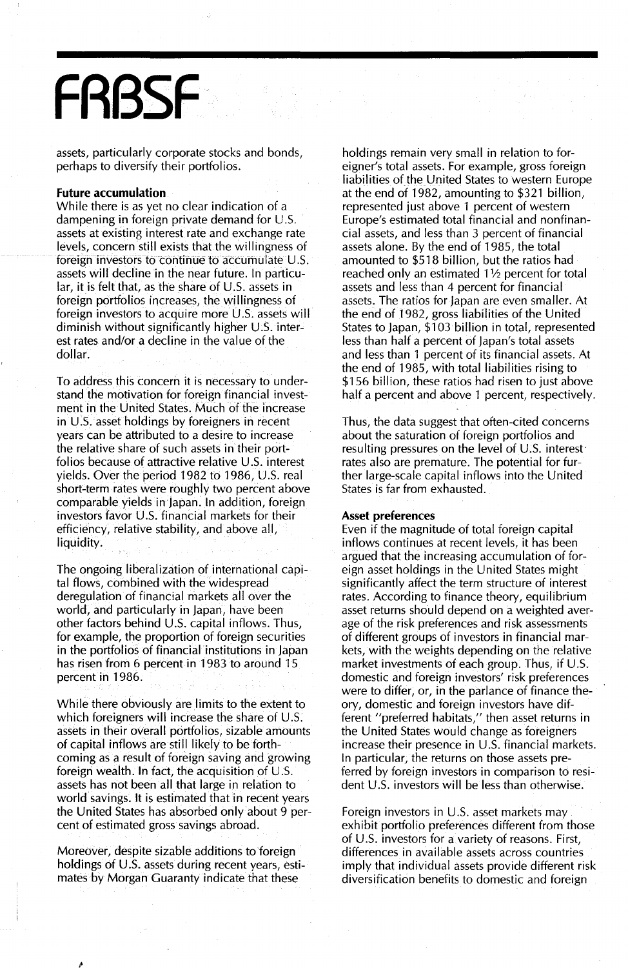## **FRBSF**

assets, particularly corporate stocks and bonds, perhaps to diversify their portfolios.

#### **Future accumulation**

While there is as yet no clear indication of a dampening in foreign private demand for  $U.S.$ assets at existing interest rate and exchange rate levels, concern still exists that the willingness of foreign investors to continue to accumulate U.S. assets will decline in the near future. In particu $lar, it is felt that, as the share of U.S. assets in$ foreign portfolios increases, the willingness of foreign investors to acquire more U.5. assets will diminish without significantly higher  $U.S.$  interest rates and/or a decline in the value of the dollar.

To address this concern it is necessary to understand the motivation for foreign financial investment in the United States. Much of the increase in U.S. asset holdings by foreigners in recent years can be attributed to a desire to increase the relative share of such assets in their portfolios because of attractive relative U.5. interest yields. Over the period 1982 to 1986, U.5. real short-term rates were roughly two percent above comparable yields in Japan. In addition, foreign investors favor U.S. financial markets for their efficiency, relative stability, and above all, liquidity.

The ongoing liberalization of international capital flows, combined with the widespread deregulation of financial markets all over the world, and particularly in japan, have been other factors behind U.5. capital inflows. Thus, for example, the proportion of foreign securities in the portfolios of financial institutions in japan has risen from 6 percent in 1983 to around 15 percent in 1986.

While there obviously are limits to the extent to which foreigners will increase the share of U.S. assets in their overall portfolios, sizable amounts of capital inflows are still likely to be forthcoming as a result of foreign saving and growing foreign wealth. In fact, the acquisition of U.5. assets has not been all that large in relation to world savings. It is estimated that in recent years the United States has absorbed only about 9 percent of estimated gross savings abroad.

Moreover, despite sizable additions to foreign holdings of U.S. assets during recent years, estimates by Morgan Guaranty indicate that these

holdings remain very small in relation to foreigner's total assets. For example, gross foreign liabilities of the United States to western Europe at the end of 1982, amounting to \$321 billion, represented just above 1 percent of western Europe's estimated total financial and nonfinancial assets, and less than 3 percent of financial assets alone. By the end of 1985, the total amounted to \$518 billion, but the ratios had reached only an estimated  $1\frac{1}{2}$  percent for total assets and less than 4 percent for financial assets. The ratios for japan are even smaller. At the end of 1982, gross liabilities of the United States to japan, \$103 billion in total, represented less than half a percent of japan's total assets and less than 1 percent of its financial assets. At the end of 1985, with total liabilities rising to \$156 billion, these ratios had risen to just above half a percent and above 1 percent, respectively.

Thus, the data suggest that often-cited concerns about the saturation of foreign portfolios and resulting pressures on the level of U.S. interest rates also are premature. The potential for further large-scale capital inflows into the United States is far from exhausted.

#### Asset **preferences**

Even if the magnitude of total foreign capital inflows continues at recent levels, it has been argued that the increasing accumulation of foreign asset holdings in the United States might significantly affect the term structure of interest rates. According to finance theory, equilibrium asset returns should depend on a weighted average of the risk preferences and risk assessments of different groups of investors in financial markets, with the weights depending on the relative market investments of each group. Thus, if U.5. domestic and foreign investors' risk preferences were to differ, or, in the parlance of finance theory, domestic and foreign investors have different "preferred habitats," then asset returns in the United States would change as foreigners increase their presence in U.5. financial markets. In particular, the returns on those assets preferred by foreign investors in comparison to resident U.5. investors will be less than otherwise.

Foreign investors in U.S. asset markets may exhibit portfolio preferences different from those of U.5. investors for a variety of reasons. First, differences in available assets across countries imply that individual assets provide different risk diversification benefits to domestic and foreign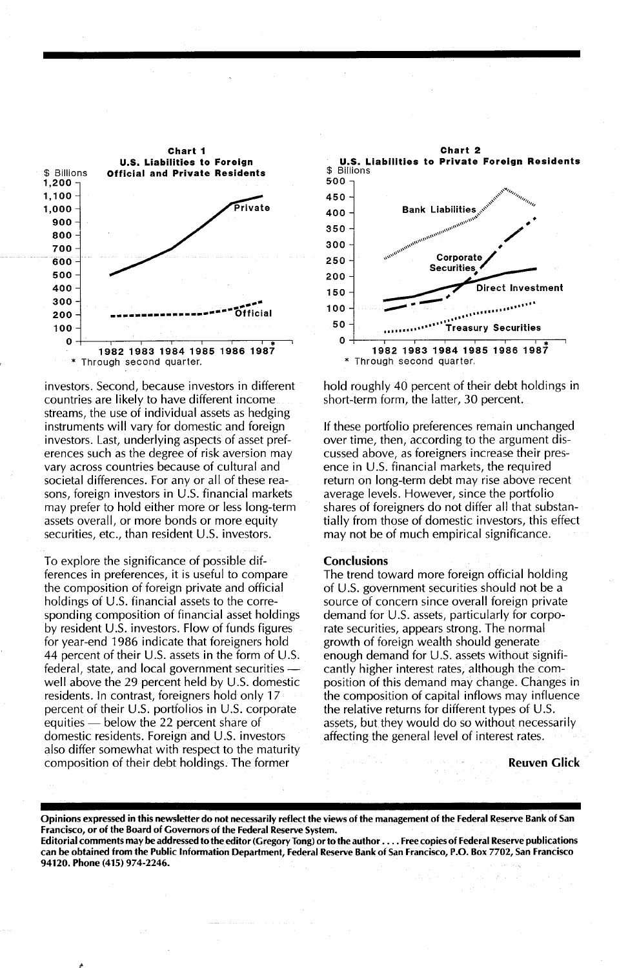

investors. Second, because investors in different countries are likely to have different income streams, the use of individual assets as hedging instruments will vary for domestic and foreign investors. Last, underlying aspects of asset preferences such as the degree of risk aversion may vary across countries because of cultural and societal differences. For any or all of these reasons, foreign investors in U.S. financial markets may prefer to hold either more or less long-term assets overall, or more bonds or more equity securities, etc., than resident U.S. investors.

To explore the significance of possible differences in preferences, it is useful to compare the composition of foreign private and official holdings of U.S. financial assets to the corresponding composition of financial asset holdings by resident U.S. investors. Flow of funds figures for year-end 1986 indicate that foreigners hold 44 percent of their U.S. assets in the form of U.S. federal, state, and local government securities well above the 29 percent held by U.S. domestic residents. In contrast, foreigners hold only 17 percent of their U.S. portfolios in U.S. corporate equities — below the 22 percent share of domestic residents. Foreign and U.S. investors also differ somewhat with respect to the maturity composition of their debt holdings. The former



hold roughly 40 percent of their debt holdings in short-term form, the latter, 30 percent.

If these portfolio preferences remain unchanged over time, then, according to the argument discussed above, as foreigners increase their presence in U.S. financial markets, the required return on long-term debt may rise above recent average levels. However, since the portfolio shares of foreigners do not differ all that substantially from those of domestic investors, this effect may not be of much empirical significance.

#### **Conclusions**

The trend toward more foreign official holding of U.S. government securities should not be a source of concern since overall foreign private demand for U.S. assets, particularly for corporate securities, appears strong. The normal growth of foreign wealth should generate enough demand for U.S. assets without significantly higher interest rates, although the composition of this demand may change. Changes in the composition of capital inflows may influence the relative returns for different types of U.S. assets, but they would do so without necessarily affecting the general level of interest rates.

#### **Reuven Glick**

Opinions expressed in this newsletter do not necessarily reflect the views of the management of the Federal Reserve Bank of San Francisco, or of the Board of Governors of the Federal Reserve System.

Editorial comments may be addressed to the editor (Gregory Tong) or to the author . . . . Free copies of Federal Reserve publications can be obtained from the Public Information Department, Federal Reserve Bank of San Francisco, P.O. Box 7702, San Francisco 94120. Phone (415) 974-2246.